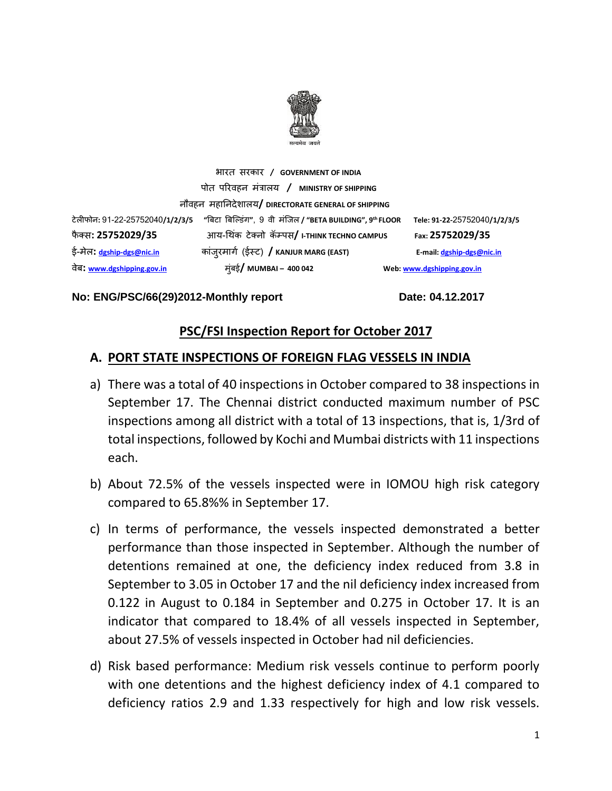

भारत सरकार **/ GOVERNMENT OF INDIA** पोत पररवहन मंत्रालय **/ MINISTRY OF SHIPPING** नौवहन महाननदेशालय**/ DIRECTORATE GENERAL OF SHIPPING** टेलीफोन**:** 91-22-25752040**/1/2/3/5 "**बिटा बिल्डंग**"**, 9 वी मंलिल **/ "BETA BUILDING", 9 th FLOOR Tele: 91-22-**25752040**/1/2/3/5**  फै क् स**: 25752029/35** आय-थ कं टेक्नो कॅम्पस**/ I-THINK TECHNO CAMPUS Fax: 25752029/35** ई-मेल**: [dgship-dgs@nic.in](mailto:dgship-dgs@nic.in)** कांिुरमागग (ईस्ट) **/ KANJUR MARG (EAST) E-mail[: dgship-dgs@nic.in](mailto:dgship-dgs@nic.in)** वेि**: [www.dgshipping.gov.in](http://www.dgshipping.gov.in/)** मुंिई**/ MUMBAI – 400 042 Web[: www.dgshipping.gov.in](http://www.dgshipping.gov.in/)**

#### No: ENG/PSC/66(29)2012-Monthly report Date: 04.12.2017

### **PSC/FSI Inspection Report for October 2017**

#### **A. PORT STATE INSPECTIONS OF FOREIGN FLAG VESSELS IN INDIA**

- a) There was a total of 40 inspections in October compared to 38 inspections in September 17. The Chennai district conducted maximum number of PSC inspections among all district with a total of 13 inspections, that is, 1/3rd of total inspections, followed by Kochi and Mumbai districts with 11 inspections each.
- b) About 72.5% of the vessels inspected were in IOMOU high risk category compared to 65.8%% in September 17.
- c) In terms of performance, the vessels inspected demonstrated a better performance than those inspected in September. Although the number of detentions remained at one, the deficiency index reduced from 3.8 in September to 3.05 in October 17 and the nil deficiency index increased from 0.122 in August to 0.184 in September and 0.275 in October 17. It is an indicator that compared to 18.4% of all vessels inspected in September, about 27.5% of vessels inspected in October had nil deficiencies.
- d) Risk based performance: Medium risk vessels continue to perform poorly with one detentions and the highest deficiency index of 4.1 compared to deficiency ratios 2.9 and 1.33 respectively for high and low risk vessels.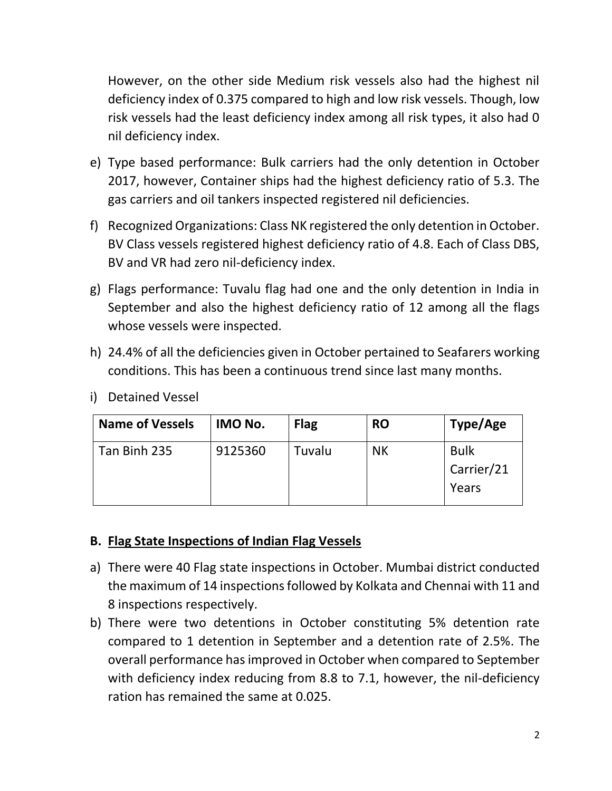However, on the other side Medium risk vessels also had the highest nil deficiency index of 0.375 compared to high and low risk vessels. Though, low risk vessels had the least deficiency index among all risk types, it also had 0 nil deficiency index.

- e) Type based performance: Bulk carriers had the only detention in October 2017, however, Container ships had the highest deficiency ratio of 5.3. The gas carriers and oil tankers inspected registered nil deficiencies.
- f) Recognized Organizations: Class NK registered the only detention in October. BV Class vessels registered highest deficiency ratio of 4.8. Each of Class DBS, BV and VR had zero nil-deficiency index.
- g) Flags performance: Tuvalu flag had one and the only detention in India in September and also the highest deficiency ratio of 12 among all the flags whose vessels were inspected.
- h) 24.4% of all the deficiencies given in October pertained to Seafarers working conditions. This has been a continuous trend since last many months.

| <b>Name of Vessels</b> | IMO No. | <b>Flag</b> | <b>RO</b> | Type/Age                           |
|------------------------|---------|-------------|-----------|------------------------------------|
| Tan Binh 235           | 9125360 | Tuvalu      | <b>NK</b> | <b>Bulk</b><br>Carrier/21<br>Years |

i) Detained Vessel

# **B. Flag State Inspections of Indian Flag Vessels**

- a) There were 40 Flag state inspections in October. Mumbai district conducted the maximum of 14 inspections followed by Kolkata and Chennai with 11 and 8 inspections respectively.
- b) There were two detentions in October constituting 5% detention rate compared to 1 detention in September and a detention rate of 2.5%. The overall performance has improved in October when compared to September with deficiency index reducing from 8.8 to 7.1, however, the nil-deficiency ration has remained the same at 0.025.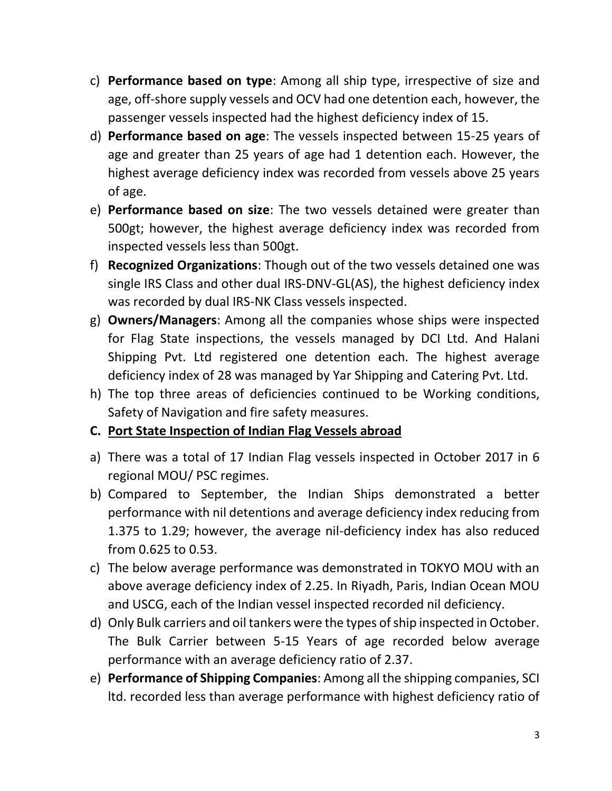- c) **Performance based on type**: Among all ship type, irrespective of size and age, off-shore supply vessels and OCV had one detention each, however, the passenger vessels inspected had the highest deficiency index of 15.
- d) **Performance based on age**: The vessels inspected between 15-25 years of age and greater than 25 years of age had 1 detention each. However, the highest average deficiency index was recorded from vessels above 25 years of age.
- e) **Performance based on size**: The two vessels detained were greater than 500gt; however, the highest average deficiency index was recorded from inspected vessels less than 500gt.
- f) **Recognized Organizations**: Though out of the two vessels detained one was single IRS Class and other dual IRS-DNV-GL(AS), the highest deficiency index was recorded by dual IRS-NK Class vessels inspected.
- g) **Owners/Managers**: Among all the companies whose ships were inspected for Flag State inspections, the vessels managed by DCI Ltd. And Halani Shipping Pvt. Ltd registered one detention each. The highest average deficiency index of 28 was managed by Yar Shipping and Catering Pvt. Ltd.
- h) The top three areas of deficiencies continued to be Working conditions, Safety of Navigation and fire safety measures.

# **C. Port State Inspection of Indian Flag Vessels abroad**

- a) There was a total of 17 Indian Flag vessels inspected in October 2017 in 6 regional MOU/ PSC regimes.
- b) Compared to September, the Indian Ships demonstrated a better performance with nil detentions and average deficiency index reducing from 1.375 to 1.29; however, the average nil-deficiency index has also reduced from 0.625 to 0.53.
- c) The below average performance was demonstrated in TOKYO MOU with an above average deficiency index of 2.25. In Riyadh, Paris, Indian Ocean MOU and USCG, each of the Indian vessel inspected recorded nil deficiency.
- d) Only Bulk carriers and oil tankers were the types of ship inspected in October. The Bulk Carrier between 5-15 Years of age recorded below average performance with an average deficiency ratio of 2.37.
- e) **Performance of Shipping Companies**: Among all the shipping companies, SCI ltd. recorded less than average performance with highest deficiency ratio of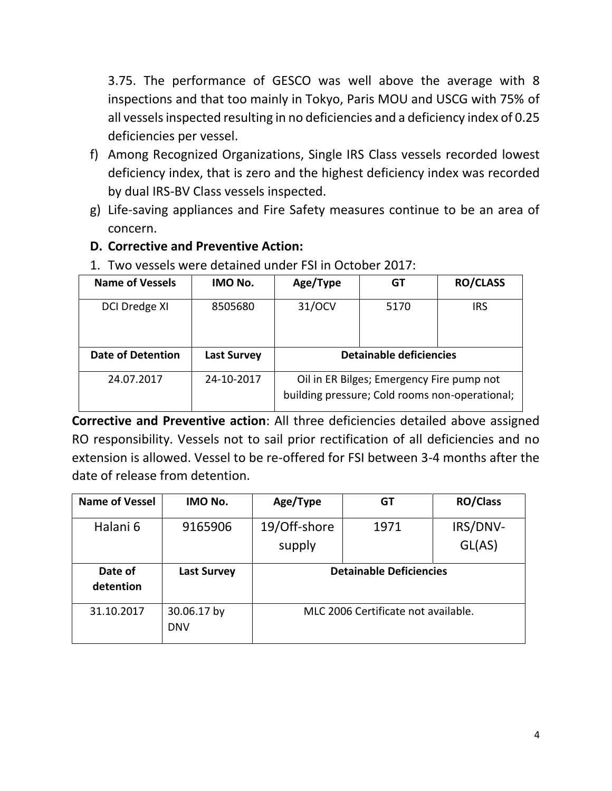3.75. The performance of GESCO was well above the average with 8 inspections and that too mainly in Tokyo, Paris MOU and USCG with 75% of all vessels inspected resulting in no deficiencies and a deficiency index of 0.25 deficiencies per vessel.

- f) Among Recognized Organizations, Single IRS Class vessels recorded lowest deficiency index, that is zero and the highest deficiency index was recorded by dual IRS-BV Class vessels inspected.
- g) Life-saving appliances and Fire Safety measures continue to be an area of concern.
- **D. Corrective and Preventive Action:**

| 1. TWO VCJJCIJ WCTC UCWINCU UNUCI TJI IN OCLONCI EUITI |                    |                                                                                             |      |                 |  |
|--------------------------------------------------------|--------------------|---------------------------------------------------------------------------------------------|------|-----------------|--|
| <b>Name of Vessels</b>                                 | IMO No.            | Age/Type                                                                                    | GT   | <b>RO/CLASS</b> |  |
| <b>DCI Dredge XI</b>                                   | 8505680            | 31/OCV                                                                                      | 5170 | <b>IRS</b>      |  |
| <b>Date of Detention</b>                               | <b>Last Survey</b> | <b>Detainable deficiencies</b>                                                              |      |                 |  |
| 24.07.2017                                             | 24-10-2017         | Oil in ER Bilges; Emergency Fire pump not<br>building pressure; Cold rooms non-operational; |      |                 |  |

1. Two vessels were detained under FSI in October 2017:

**Corrective and Preventive action**: All three deficiencies detailed above assigned RO responsibility. Vessels not to sail prior rectification of all deficiencies and no extension is allowed. Vessel to be re-offered for FSI between 3-4 months after the date of release from detention.

| <b>Name of Vessel</b> | IMO No.                   | Age/Type               | GT                                  | <b>RO/Class</b>    |
|-----------------------|---------------------------|------------------------|-------------------------------------|--------------------|
| Halani 6              | 9165906                   | 19/Off-shore<br>supply | 1971                                | IRS/DNV-<br>GL(AS) |
| Date of<br>detention  | <b>Last Survey</b>        |                        | <b>Detainable Deficiencies</b>      |                    |
| 31.10.2017            | 30.06.17 by<br><b>DNV</b> |                        | MLC 2006 Certificate not available. |                    |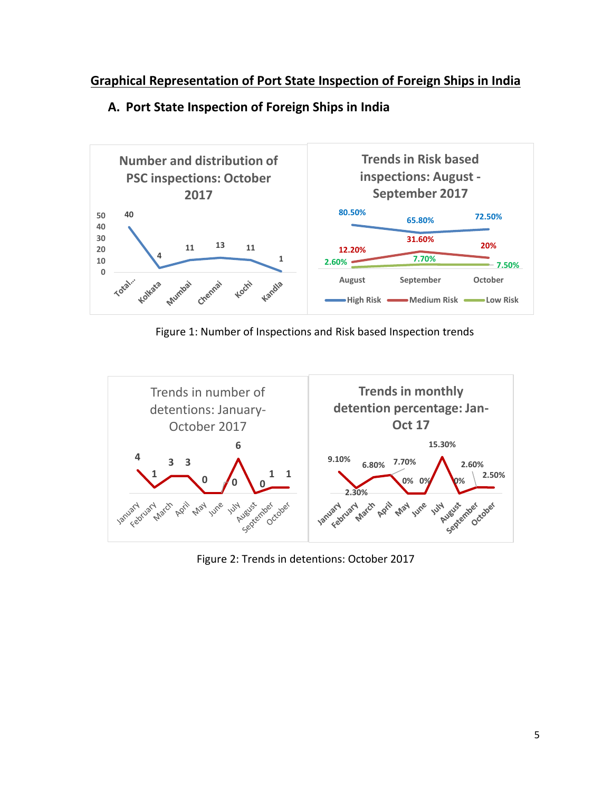# **Graphical Representation of Port State Inspection of Foreign Ships in India**



### **A. Port State Inspection of Foreign Ships in India**

Figure 1: Number of Inspections and Risk based Inspection trends



Figure 2: Trends in detentions: October 2017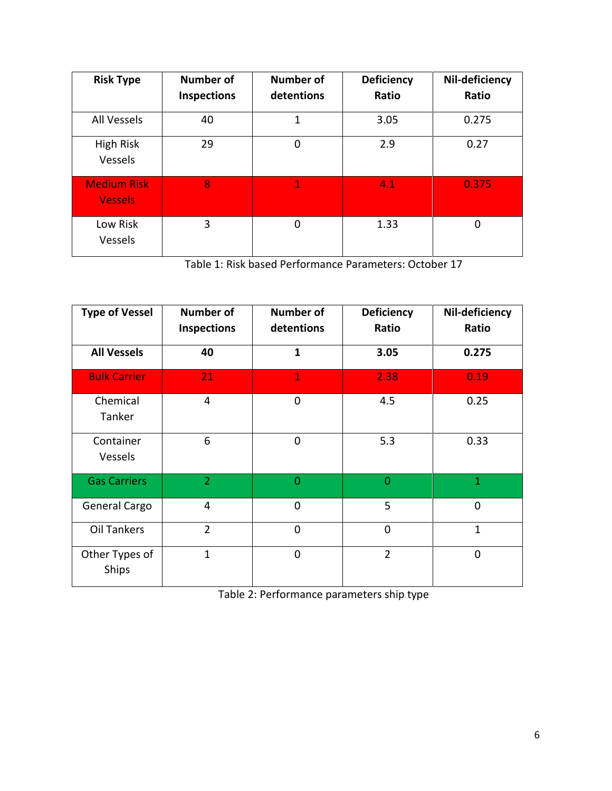| <b>Risk Type</b>                     | <b>Number of</b>   | <b>Number of</b> | <b>Deficiency</b> | Nil-deficiency |
|--------------------------------------|--------------------|------------------|-------------------|----------------|
|                                      | <b>Inspections</b> | detentions       | Ratio             | Ratio          |
| All Vessels                          | 40                 | 1                | 3.05              | 0.275          |
| High Risk<br>Vessels                 | 29                 | $\overline{0}$   | 2.9               | 0.27           |
| <b>Medium Risk</b><br><b>Vessels</b> | 8                  | 1                | 4.1               | 0.375          |
| Low Risk<br>Vessels                  | 3                  | $\overline{0}$   | 1.33              | 0              |

Table 1: Risk based Performance Parameters: October 17

| <b>Type of Vessel</b>   | <b>Number of</b><br><b>Inspections</b> | <b>Number of</b><br>detentions | <b>Deficiency</b><br>Ratio | Nil-deficiency<br>Ratio |
|-------------------------|----------------------------------------|--------------------------------|----------------------------|-------------------------|
| <b>All Vessels</b>      | 40                                     | $\mathbf{1}$                   | 3.05                       | 0.275                   |
| <b>Bulk Carrier</b>     | 21                                     | $\mathbf{1}$                   | 2.38                       | 0.19                    |
| Chemical<br>Tanker      | $\overline{4}$                         | 0                              | 4.5                        | 0.25                    |
| Container<br>Vessels    | 6                                      | $\mathbf 0$                    | 5.3                        | 0.33                    |
| <b>Gas Carriers</b>     | $\overline{2}$                         | $\overline{0}$                 | $\overline{0}$             | $\mathbf{1}$            |
| General Cargo           | $\overline{4}$                         | $\overline{0}$                 | 5                          | $\overline{0}$          |
| <b>Oil Tankers</b>      | $\overline{2}$                         | $\Omega$                       | $\mathbf 0$                | $\mathbf{1}$            |
| Other Types of<br>Ships | $\mathbf{1}$                           | $\Omega$                       | $\overline{2}$             | $\overline{0}$          |

Table 2: Performance parameters ship type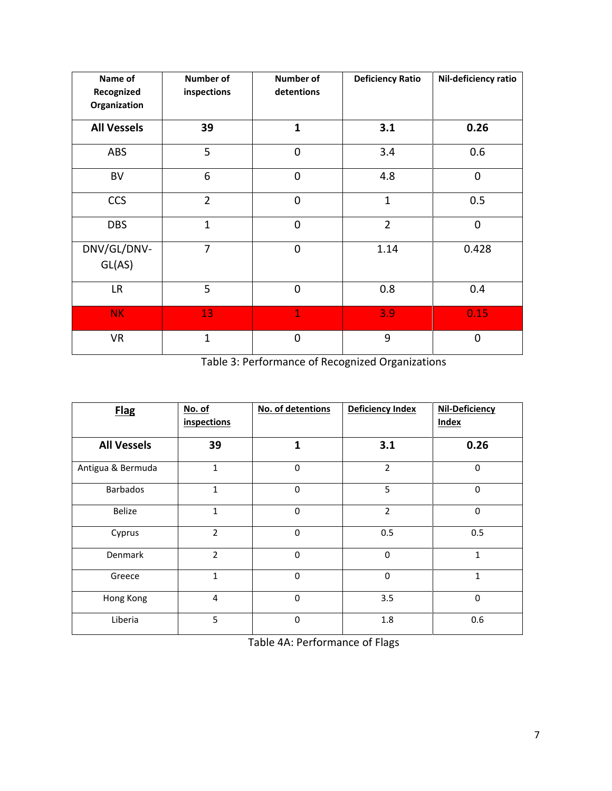| Name of<br>Recognized<br>Organization | Number of<br>inspections | Number of<br>detentions | <b>Deficiency Ratio</b> | Nil-deficiency ratio |
|---------------------------------------|--------------------------|-------------------------|-------------------------|----------------------|
| <b>All Vessels</b>                    | 39                       | $\mathbf{1}$            | 3.1                     | 0.26                 |
| ABS                                   | 5                        | $\mathbf 0$             | 3.4                     | 0.6                  |
| <b>BV</b>                             | 6                        | $\overline{0}$          | 4.8                     | 0                    |
| <b>CCS</b>                            | $\overline{2}$           | $\mathbf 0$             | $\mathbf{1}$            | 0.5                  |
| <b>DBS</b>                            | $\mathbf{1}$             | $\overline{0}$          | $\overline{2}$          | $\overline{0}$       |
| DNV/GL/DNV-<br>GL(AS)                 | $\overline{7}$           | $\mathbf 0$             | 1.14                    | 0.428                |
| LR.                                   | 5                        | $\overline{0}$          | 0.8                     | 0.4                  |
| NK.                                   | 13                       | $\overline{1}$          | 3.9                     | 0.15                 |
| <b>VR</b>                             | $\mathbf{1}$             | $\overline{0}$          | 9                       | $\overline{0}$       |

Table 3: Performance of Recognized Organizations

| <b>Flag</b>        | No. of<br><i>inspections</i> | No. of detentions | Deficiency Index | Nil-Deficiency<br><b>Index</b> |
|--------------------|------------------------------|-------------------|------------------|--------------------------------|
| <b>All Vessels</b> | 39                           | $\mathbf{1}$      | 3.1              | 0.26                           |
| Antigua & Bermuda  | $\mathbf{1}$                 | $\mathbf 0$       | $\overline{2}$   | $\mathbf 0$                    |
| <b>Barbados</b>    | 1                            | $\mathbf 0$       | 5                | $\mathbf 0$                    |
| <b>Belize</b>      | $\mathbf{1}$                 | $\Omega$          | $\overline{2}$   | $\Omega$                       |
| Cyprus             | $\overline{2}$               | $\mathbf 0$       | 0.5              | 0.5                            |
| Denmark            | $\overline{2}$               | $\mathbf 0$       | $\mathbf 0$      | $\mathbf{1}$                   |
| Greece             | $\mathbf{1}$                 | $\mathbf 0$       | $\mathbf 0$      | 1                              |
| Hong Kong          | 4                            | $\mathbf 0$       | 3.5              | $\mathbf 0$                    |
| Liberia            | 5                            | $\mathbf 0$       | 1.8              | 0.6                            |

Table 4A: Performance of Flags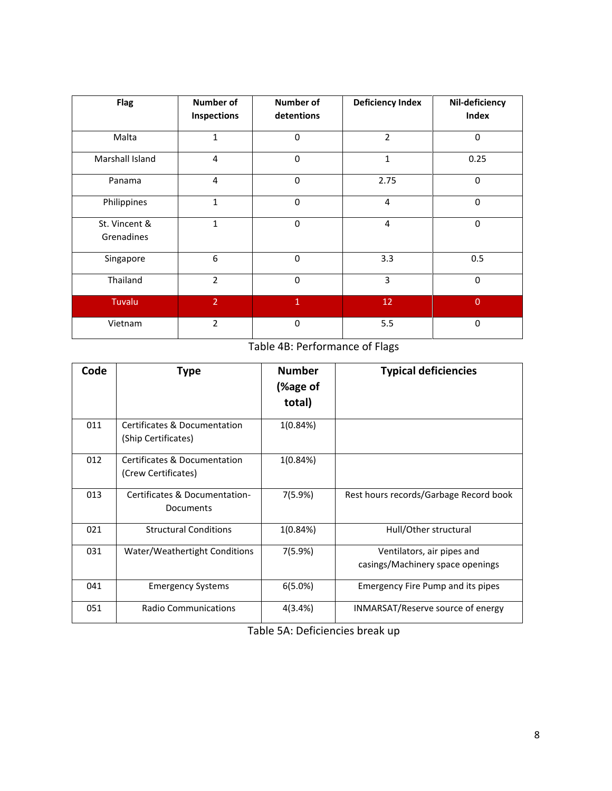| <b>Flag</b>                 | <b>Number of</b><br>Inspections | <b>Number of</b><br>detentions | <b>Deficiency Index</b> | Nil-deficiency<br>Index |
|-----------------------------|---------------------------------|--------------------------------|-------------------------|-------------------------|
| Malta                       | $\mathbf{1}$                    | $\mathbf 0$                    | $\overline{2}$          | $\mathbf 0$             |
| Marshall Island             | 4                               | $\mathbf 0$                    | 1                       | 0.25                    |
| Panama                      | 4                               | $\mathbf 0$                    | 2.75                    | $\mathbf 0$             |
| Philippines                 | $\mathbf{1}$                    | $\mathbf 0$                    | $\overline{4}$          | $\mathbf 0$             |
| St. Vincent &<br>Grenadines | $\mathbf{1}$                    | $\mathbf 0$                    | $\overline{4}$          | 0                       |
| Singapore                   | 6                               | $\Omega$                       | 3.3                     | 0.5                     |
| Thailand                    | $\overline{2}$                  | $\Omega$                       | 3                       | $\mathbf 0$             |
| Tuvalu                      | $\overline{2}$                  | $\mathbf{1}$                   | 12                      | $\overline{0}$          |
| Vietnam                     | $\overline{2}$                  | $\mathbf 0$                    | 5.5                     | $\mathbf 0$             |

Table 4B: Performance of Flags

| Code | <b>Type</b>                                         | <b>Number</b><br>(%age of<br>total) | <b>Typical deficiencies</b>                                    |
|------|-----------------------------------------------------|-------------------------------------|----------------------------------------------------------------|
| 011  | Certificates & Documentation<br>(Ship Certificates) | 1(0.84%)                            |                                                                |
| 012  | Certificates & Documentation<br>(Crew Certificates) | 1(0.84%)                            |                                                                |
| 013  | Certificates & Documentation-<br>Documents          | 7(5.9%)                             | Rest hours records/Garbage Record book                         |
| 021  | <b>Structural Conditions</b>                        | 1(0.84%)                            | Hull/Other structural                                          |
| 031  | Water/Weathertight Conditions                       | 7(5.9%)                             | Ventilators, air pipes and<br>casings/Machinery space openings |
| 041  | <b>Emergency Systems</b>                            | 6(5.0%)                             | <b>Emergency Fire Pump and its pipes</b>                       |
| 051  | <b>Radio Communications</b>                         | 4(3.4%)                             | INMARSAT/Reserve source of energy                              |

Table 5A: Deficiencies break up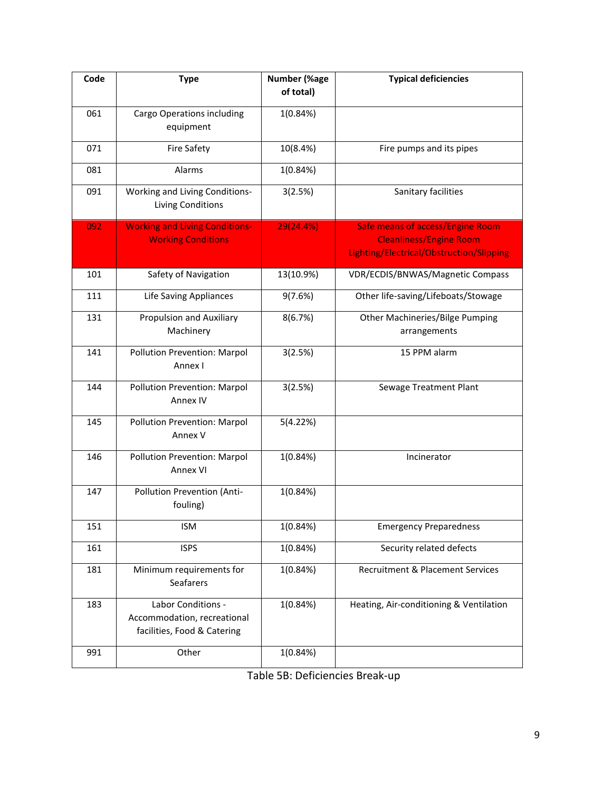| Code | <b>Type</b>                                                                      | <b>Number (%age</b><br>of total) | <b>Typical deficiencies</b>                                                                                           |
|------|----------------------------------------------------------------------------------|----------------------------------|-----------------------------------------------------------------------------------------------------------------------|
| 061  | Cargo Operations including<br>equipment                                          | 1(0.84%)                         |                                                                                                                       |
| 071  | <b>Fire Safety</b>                                                               | 10(8.4%)                         | Fire pumps and its pipes                                                                                              |
| 081  | Alarms                                                                           | 1(0.84%)                         |                                                                                                                       |
| 091  | Working and Living Conditions-<br>Living Conditions                              | 3(2.5%)                          | Sanitary facilities                                                                                                   |
| 092  | <b>Working and Living Conditions-</b><br><b>Working Conditions</b>               | 29(24.4%)                        | <b>Safe means of access/Engine Room</b><br><b>Cleanliness/Engine Room</b><br>Lighting/Electrical/Obstruction/Slipping |
| 101  | Safety of Navigation                                                             | 13(10.9%)                        | VDR/ECDIS/BNWAS/Magnetic Compass                                                                                      |
| 111  | Life Saving Appliances                                                           | 9(7.6%)                          | Other life-saving/Lifeboats/Stowage                                                                                   |
| 131  | <b>Propulsion and Auxiliary</b><br>Machinery                                     | 8(6.7%)                          | <b>Other Machineries/Bilge Pumping</b><br>arrangements                                                                |
| 141  | Pollution Prevention: Marpol<br>Annex I                                          | 3(2.5%)                          | 15 PPM alarm                                                                                                          |
| 144  | Pollution Prevention: Marpol<br>Annex IV                                         | 3(2.5%)                          | Sewage Treatment Plant                                                                                                |
| 145  | Pollution Prevention: Marpol<br>Annex V                                          | 5(4.22%)                         |                                                                                                                       |
| 146  | Pollution Prevention: Marpol<br>Annex VI                                         | 1(0.84%)                         | Incinerator                                                                                                           |
| 147  | Pollution Prevention (Anti-<br>fouling)                                          | 1(0.84%)                         |                                                                                                                       |
| 151  | ISM                                                                              | 1(0.84%)                         | <b>Emergency Preparedness</b>                                                                                         |
| 161  | <b>ISPS</b>                                                                      | 1(0.84%)                         | Security related defects                                                                                              |
| 181  | Minimum requirements for<br><b>Seafarers</b>                                     | 1(0.84%)                         | Recruitment & Placement Services                                                                                      |
| 183  | Labor Conditions -<br>Accommodation, recreational<br>facilities, Food & Catering | 1(0.84%)                         | Heating, Air-conditioning & Ventilation                                                                               |
| 991  | Other                                                                            | 1(0.84%)                         |                                                                                                                       |

| Table 5B: Deficiencies Break-up |  |
|---------------------------------|--|
|---------------------------------|--|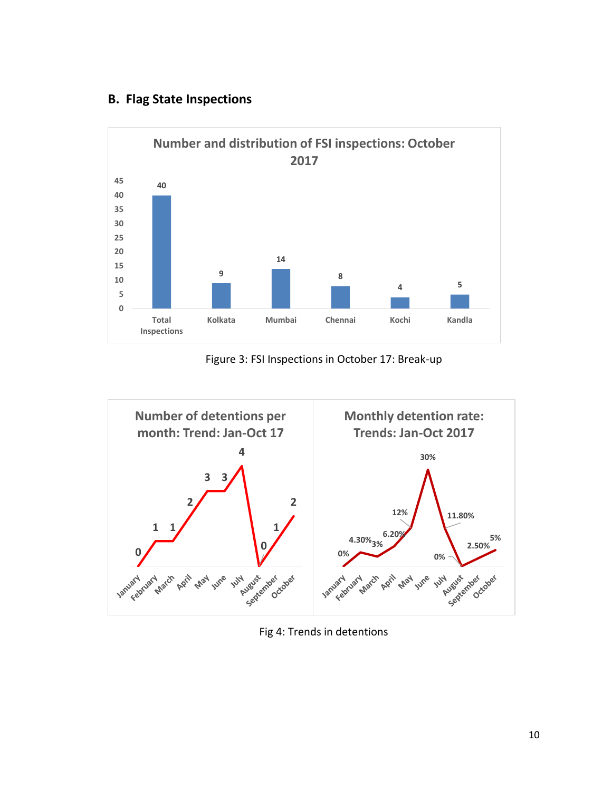### **B. Flag State Inspections**



Figure 3: FSI Inspections in October 17: Break-up



Fig 4: Trends in detentions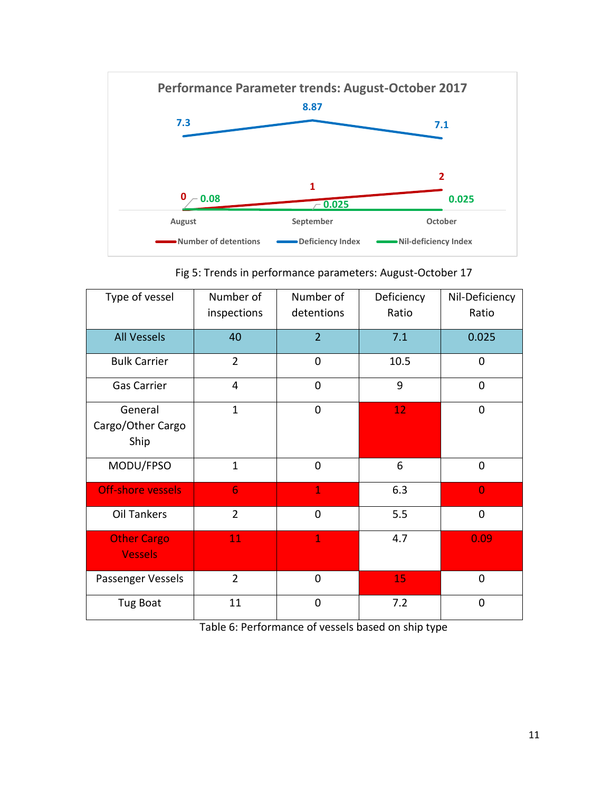

Fig 5: Trends in performance parameters: August-October 17

| Type of vessel                       | Number of<br>inspections | Number of<br>detentions | Deficiency<br>Ratio | Nil-Deficiency<br>Ratio |
|--------------------------------------|--------------------------|-------------------------|---------------------|-------------------------|
| <b>All Vessels</b>                   | 40                       | $\overline{2}$          | 7.1                 | 0.025                   |
| <b>Bulk Carrier</b>                  | $\overline{2}$           | $\overline{0}$          | 10.5                | 0                       |
| <b>Gas Carrier</b>                   | $\overline{4}$           | $\overline{0}$          | 9                   | $\overline{0}$          |
| General<br>Cargo/Other Cargo<br>Ship | $\mathbf{1}$             | $\mathbf 0$             | 12                  | 0                       |
| MODU/FPSO                            | $\mathbf{1}$             | $\overline{0}$          | 6                   | $\mathbf 0$             |
| <b>Off-shore vessels</b>             | $6\phantom{1}$           | $\mathbf{1}$            | 6.3                 | $\overline{0}$          |
| Oil Tankers                          | $\overline{2}$           | $\overline{0}$          | 5.5                 | 0                       |
| <b>Other Cargo</b><br><b>Vessels</b> | 11                       | $\mathbf{1}$            | 4.7                 | 0.09                    |
| Passenger Vessels                    | $\overline{2}$           | $\mathbf 0$             | 15                  | 0                       |
| Tug Boat                             | 11                       | $\overline{0}$          | 7.2                 | 0                       |

Table 6: Performance of vessels based on ship type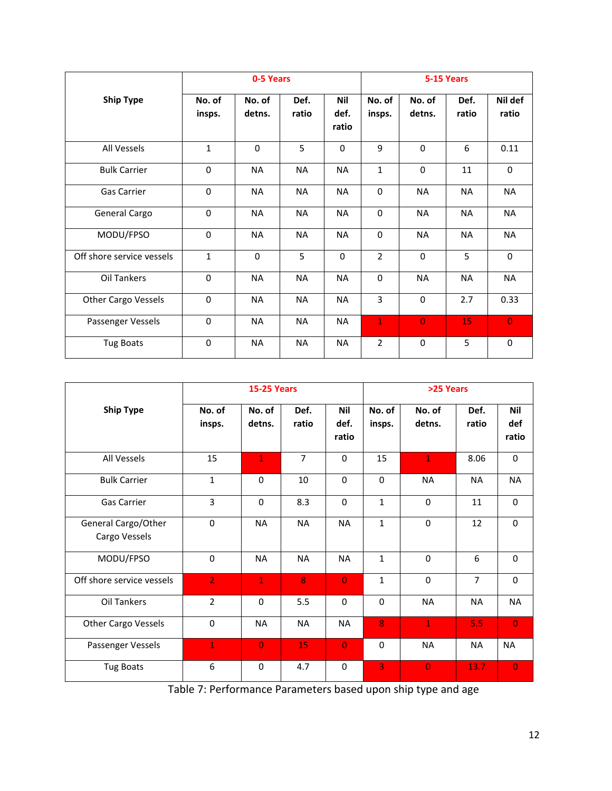|                            | 0-5 Years        |                  |               | 5-15 Years                  |                  |                  |               |                  |
|----------------------------|------------------|------------------|---------------|-----------------------------|------------------|------------------|---------------|------------------|
| <b>Ship Type</b>           | No. of<br>insps. | No. of<br>detns. | Def.<br>ratio | <b>Nil</b><br>def.<br>ratio | No. of<br>insps. | No. of<br>detns. | Def.<br>ratio | Nil def<br>ratio |
| All Vessels                | 1                | $\Omega$         | 5             | $\mathbf 0$                 | 9                | $\Omega$         | 6             | 0.11             |
| <b>Bulk Carrier</b>        | $\mathbf 0$      | <b>NA</b>        | <b>NA</b>     | <b>NA</b>                   | $\mathbf{1}$     | $\mathbf 0$      | 11            | $\mathbf 0$      |
| <b>Gas Carrier</b>         | 0                | <b>NA</b>        | <b>NA</b>     | <b>NA</b>                   | $\mathbf 0$      | <b>NA</b>        | <b>NA</b>     | <b>NA</b>        |
| General Cargo              | 0                | <b>NA</b>        | <b>NA</b>     | <b>NA</b>                   | $\mathbf 0$      | <b>NA</b>        | <b>NA</b>     | <b>NA</b>        |
| MODU/FPSO                  | $\Omega$         | <b>NA</b>        | <b>NA</b>     | NA                          | $\mathbf 0$      | <b>NA</b>        | <b>NA</b>     | NA               |
| Off shore service vessels  | $\mathbf{1}$     | $\Omega$         | 5             | $\Omega$                    | $\overline{2}$   | $\Omega$         | 5             | $\mathbf{0}$     |
| Oil Tankers                | 0                | <b>NA</b>        | <b>NA</b>     | <b>NA</b>                   | $\mathbf 0$      | <b>NA</b>        | <b>NA</b>     | <b>NA</b>        |
| <b>Other Cargo Vessels</b> | $\mathbf 0$      | <b>NA</b>        | <b>NA</b>     | <b>NA</b>                   | 3                | 0                | 2.7           | 0.33             |
| Passenger Vessels          | 0                | <b>NA</b>        | <b>NA</b>     | <b>NA</b>                   | $\mathbf{1}$     | $\overline{0}$   | 15            | $\overline{0}$   |
| <b>Tug Boats</b>           | $\Omega$         | <b>NA</b>        | <b>NA</b>     | <b>NA</b>                   | $\overline{2}$   | $\Omega$         | 5             | $\Omega$         |

|                                      | <b>15-25 Years</b> |                  |                |                             | >25 Years        |                  |                |                            |
|--------------------------------------|--------------------|------------------|----------------|-----------------------------|------------------|------------------|----------------|----------------------------|
| <b>Ship Type</b>                     | No. of<br>insps.   | No. of<br>detns. | Def.<br>ratio  | <b>Nil</b><br>def.<br>ratio | No. of<br>insps. | No. of<br>detns. | Def.<br>ratio  | <b>Nil</b><br>def<br>ratio |
| All Vessels                          | 15                 | $\mathbf{1}$     | $\overline{7}$ | $\Omega$                    | 15               | $\mathbf{1}$     | 8.06           | $\Omega$                   |
| <b>Bulk Carrier</b>                  | $\mathbf{1}$       | $\Omega$         | 10             | $\Omega$                    | $\Omega$         | <b>NA</b>        | <b>NA</b>      | <b>NA</b>                  |
| <b>Gas Carrier</b>                   | $\overline{3}$     | $\Omega$         | 8.3            | $\Omega$                    | $\mathbf{1}$     | $\mathbf 0$      | 11             | $\mathbf 0$                |
| General Cargo/Other<br>Cargo Vessels | $\Omega$           | <b>NA</b>        | <b>NA</b>      | <b>NA</b>                   | $\mathbf{1}$     | $\Omega$         | 12             | $\mathbf{0}$               |
| MODU/FPSO                            | $\Omega$           | <b>NA</b>        | <b>NA</b>      | <b>NA</b>                   | $\mathbf{1}$     | $\Omega$         | 6              | $\mathbf{0}$               |
| Off shore service vessels            | $\overline{2}$     | $\mathbf{1}$     | 8              | $\overline{0}$              | $\mathbf{1}$     | $\mathbf 0$      | $\overline{7}$ | $\mathbf 0$                |
| Oil Tankers                          | $\overline{2}$     | $\Omega$         | 5.5            | $\Omega$                    | $\Omega$         | <b>NA</b>        | <b>NA</b>      | <b>NA</b>                  |
| Other Cargo Vessels                  | $\Omega$           | <b>NA</b>        | <b>NA</b>      | <b>NA</b>                   | 8                | $\mathbf{1}$     | 5.5            | $\overline{0}$             |
| Passenger Vessels                    | $\mathbf{1}$       | $\overline{0}$   | 15             | $\overline{0}$              | $\Omega$         | <b>NA</b>        | <b>NA</b>      | <b>NA</b>                  |
| <b>Tug Boats</b>                     | 6                  | $\mathbf 0$      | 4.7            | $\mathbf 0$                 | 3                | $\overline{0}$   | 13.7           | $\overline{0}$             |

Table 7: Performance Parameters based upon ship type and age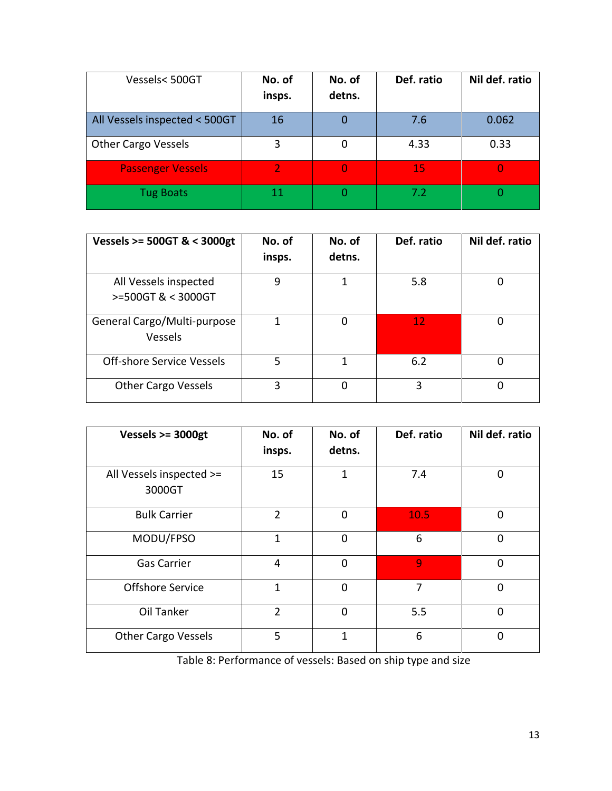| Vessels<500GT                 | No. of<br>insps. | No. of<br>detns. | Def. ratio | Nil def. ratio |
|-------------------------------|------------------|------------------|------------|----------------|
| All Vessels inspected < 500GT | 16               | 0                | 7.6        | 0.062          |
| <b>Other Cargo Vessels</b>    | 3                | 0                | 4.33       | 0.33           |
| <b>Passenger Vessels</b>      | 2                | O                | 15         |                |
| <b>Tug Boats</b>              | 11               | O                | 7.2        |                |

| Vessels >= 500GT & < 3000gt                   | No. of<br>insps. | No. of<br>detns. | Def. ratio | Nil def. ratio |
|-----------------------------------------------|------------------|------------------|------------|----------------|
| All Vessels inspected<br>>=500GT & < 3000GT   | 9                | 1                | 5.8        |                |
| General Cargo/Multi-purpose<br><b>Vessels</b> |                  | 0                | 12         |                |
| Off-shore Service Vessels                     | 5                | 1                | 6.2        |                |
| <b>Other Cargo Vessels</b>                    | 3                | 0                | ς          | Ω              |

| Vessels $>=$ 3000gt                | No. of<br>insps. | No. of<br>detns. | Def. ratio | Nil def. ratio |
|------------------------------------|------------------|------------------|------------|----------------|
| All Vessels inspected >=<br>3000GT | 15               | $\overline{1}$   | 7.4        | 0              |
| <b>Bulk Carrier</b>                | $\overline{2}$   | $\overline{0}$   | 10.5       | $\mathbf 0$    |
| MODU/FPSO                          | $\mathbf{1}$     | $\overline{0}$   | 6          | $\mathbf 0$    |
| <b>Gas Carrier</b>                 | 4                | 0                | 9          | $\overline{0}$ |
| Offshore Service                   | $\mathbf{1}$     | $\Omega$         | 7          | $\overline{0}$ |
| Oil Tanker                         | $\overline{2}$   | $\overline{0}$   | 5.5        | $\Omega$       |
| <b>Other Cargo Vessels</b>         | 5                | $\mathbf{1}$     | 6          | 0              |

Table 8: Performance of vessels: Based on ship type and size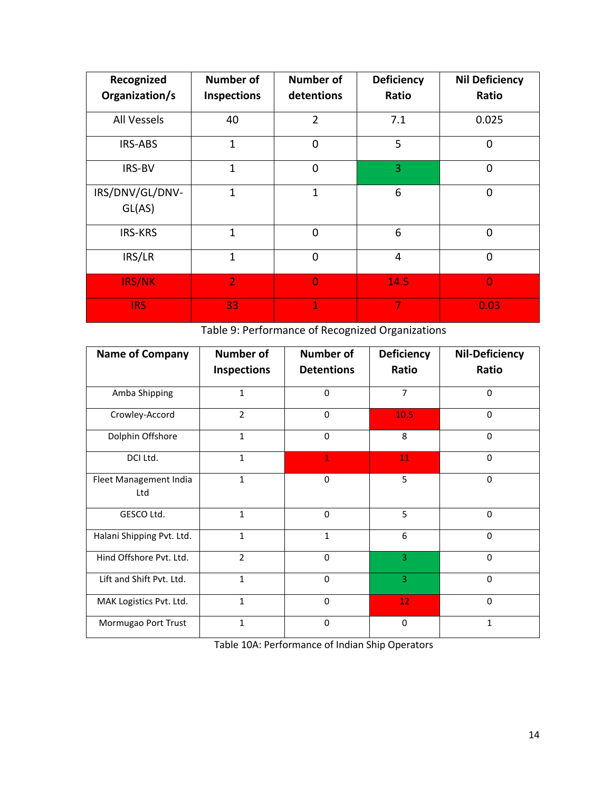| Recognized                | <b>Number of</b> | <b>Number of</b> | <b>Deficiency</b> | <b>Nil Deficiency</b> |
|---------------------------|------------------|------------------|-------------------|-----------------------|
| Organization/s            | Inspections      | detentions       | Ratio             | Ratio                 |
| All Vessels               | 40               | $\overline{2}$   | 7.1               | 0.025                 |
| IRS-ABS                   | $\overline{1}$   | $\overline{0}$   | 5                 | $\mathbf 0$           |
| IRS-BV                    | $\overline{1}$   | $\overline{0}$   | 3                 | $\overline{0}$        |
| IRS/DNV/GL/DNV-<br>GL(AS) | 1                | $\mathbf{1}$     | 6                 | $\overline{0}$        |
| <b>IRS-KRS</b>            | 1                | $\Omega$         | 6                 | $\overline{0}$        |
| IRS/LR                    | 1                | $\Omega$         | $\overline{4}$    | $\mathbf 0$           |
| IRS/NK                    | $\overline{2}$   | $\overline{0}$   | 14.5              | $\overline{0}$        |
| <b>IRS</b>                | 33               | $\mathbf{1}$     | 7                 | 0.03                  |

Table 9: Performance of Recognized Organizations

| <b>Name of Company</b>        | <b>Number of</b>   | Number of         | <b>Deficiency</b> | <b>Nil-Deficiency</b> |
|-------------------------------|--------------------|-------------------|-------------------|-----------------------|
|                               | <b>Inspections</b> | <b>Detentions</b> | Ratio             | Ratio                 |
| Amba Shipping                 | $\mathbf{1}$       | $\Omega$          | $\overline{7}$    | $\Omega$              |
| Crowley-Accord                | $\overline{2}$     | 0                 | 10.5              | 0                     |
| Dolphin Offshore              | $\mathbf{1}$       | $\Omega$          | 8                 | $\Omega$              |
| DCI Ltd.                      | $\mathbf{1}$       | $\mathbf{1}$      | 11                | $\Omega$              |
| Fleet Management India<br>Ltd | $\mathbf{1}$       | $\mathbf 0$       | 5                 | $\Omega$              |
| GESCO Ltd.                    | $\mathbf{1}$       | $\Omega$          | 5                 | $\Omega$              |
| Halani Shipping Pvt. Ltd.     | $\mathbf{1}$       | $\mathbf{1}$      | 6                 | $\Omega$              |
| Hind Offshore Pvt. Ltd.       | $\overline{2}$     | $\Omega$          | 3                 | $\Omega$              |
| Lift and Shift Pvt. Ltd.      | $\mathbf{1}$       | 0                 | 3                 | $\mathbf 0$           |
| MAK Logistics Pvt. Ltd.       | $\mathbf{1}$       | $\Omega$          | 12                | $\Omega$              |
| Mormugao Port Trust           | $\mathbf{1}$       | $\Omega$          | $\mathbf 0$       | 1                     |

Table 10A: Performance of Indian Ship Operators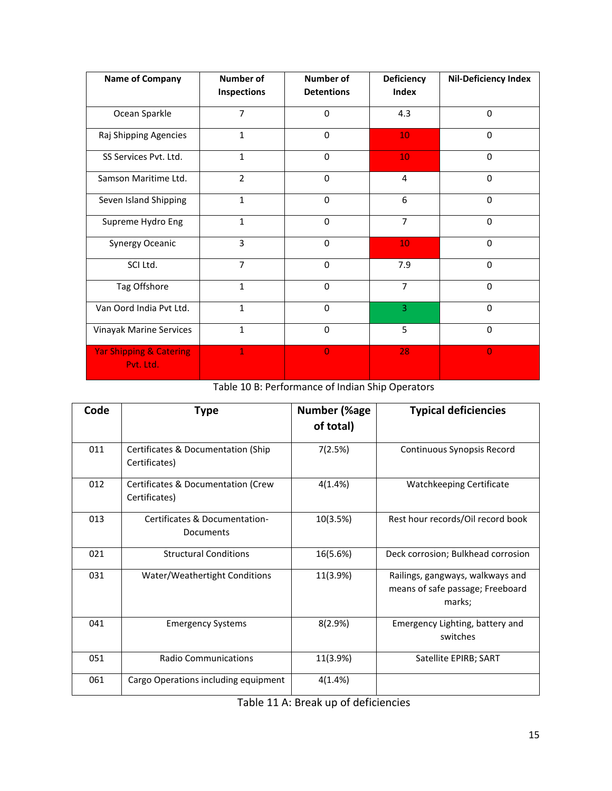| <b>Name of Company</b>                          | <b>Number of</b><br><b>Inspections</b> | <b>Number of</b><br><b>Detentions</b> | Deficiency<br><b>Index</b> | <b>Nil-Deficiency Index</b> |
|-------------------------------------------------|----------------------------------------|---------------------------------------|----------------------------|-----------------------------|
| Ocean Sparkle                                   | $\overline{7}$                         | $\mathbf 0$                           | 4.3                        | $\mathbf 0$                 |
| Raj Shipping Agencies                           | $\mathbf{1}$                           | $\mathbf 0$                           | 10                         | $\mathbf 0$                 |
| SS Services Pvt. Ltd.                           | $\mathbf{1}$                           | $\Omega$                              | 10                         | $\Omega$                    |
| Samson Maritime Ltd.                            | $\overline{2}$                         | $\mathbf 0$                           | 4                          | $\mathbf 0$                 |
| Seven Island Shipping                           | $\mathbf{1}$                           | $\mathbf 0$                           | 6                          | $\Omega$                    |
| Supreme Hydro Eng                               | $\mathbf{1}$                           | $\Omega$                              | $\overline{7}$             | $\Omega$                    |
| Synergy Oceanic                                 | 3                                      | $\mathbf 0$                           | 10                         | $\mathbf 0$                 |
| SCI Ltd.                                        | $\overline{7}$                         | $\Omega$                              | 7.9                        | $\Omega$                    |
| Tag Offshore                                    | $\mathbf{1}$                           | $\Omega$                              | $\overline{7}$             | $\Omega$                    |
| Van Oord India Pvt Ltd.                         | $\mathbf{1}$                           | $\mathbf 0$                           | 3                          | $\mathbf 0$                 |
| Vinayak Marine Services                         | $\mathbf{1}$                           | $\Omega$                              | 5                          | $\Omega$                    |
| <b>Yar Shipping &amp; Catering</b><br>Pvt. Ltd. | 1                                      | $\overline{0}$                        | 28                         | $\overline{0}$              |

Table 10 B: Performance of Indian Ship Operators

| Code | Type                                                | <b>Number (%age</b><br>of total) | <b>Typical deficiencies</b>                                                    |
|------|-----------------------------------------------------|----------------------------------|--------------------------------------------------------------------------------|
| 011  | Certificates & Documentation (Ship<br>Certificates) | 7(2.5%)                          | Continuous Synopsis Record                                                     |
| 012  | Certificates & Documentation (Crew<br>Certificates) | 4(1.4%)                          | Watchkeeping Certificate                                                       |
| 013  | Certificates & Documentation-<br>Documents          | 10(3.5%)                         | Rest hour records/Oil record book                                              |
| 021  | <b>Structural Conditions</b>                        | 16(5.6%)                         | Deck corrosion; Bulkhead corrosion                                             |
| 031  | Water/Weathertight Conditions                       | 11(3.9%)                         | Railings, gangways, walkways and<br>means of safe passage; Freeboard<br>marks; |
| 041  | <b>Emergency Systems</b>                            | 8(2.9%)                          | Emergency Lighting, battery and<br>switches                                    |
| 051  | <b>Radio Communications</b>                         | 11(3.9%)                         | Satellite EPIRB; SART                                                          |
| 061  | Cargo Operations including equipment                | 4(1.4%)                          |                                                                                |

Table 11 A: Break up of deficiencies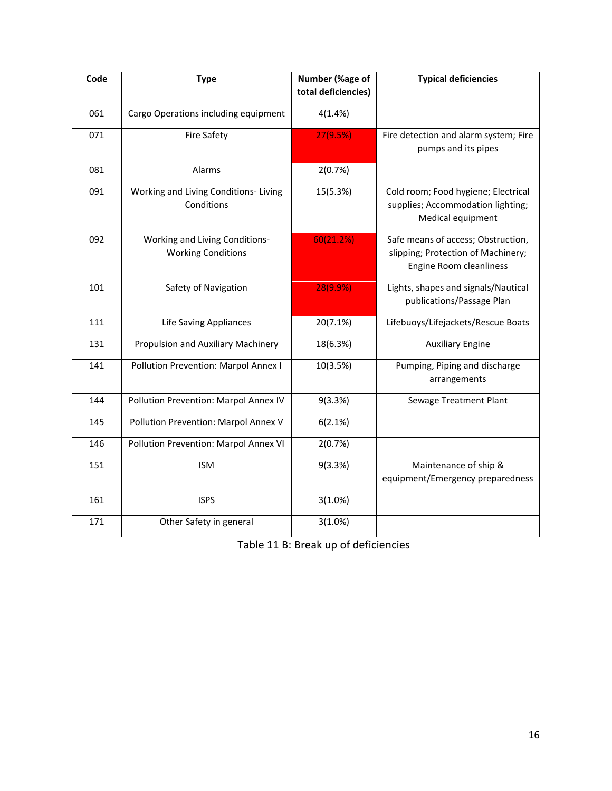| Code | <b>Type</b>                                                 | Number (%age of<br>total deficiencies) | <b>Typical deficiencies</b>                                                                         |
|------|-------------------------------------------------------------|----------------------------------------|-----------------------------------------------------------------------------------------------------|
| 061  | Cargo Operations including equipment                        | 4(1.4%)                                |                                                                                                     |
| 071  | <b>Fire Safety</b>                                          | 27(9.5%)                               | Fire detection and alarm system; Fire<br>pumps and its pipes                                        |
| 081  | Alarms                                                      | 2(0.7%)                                |                                                                                                     |
| 091  | Working and Living Conditions-Living<br>Conditions          | 15(5.3%)                               | Cold room; Food hygiene; Electrical<br>supplies; Accommodation lighting;<br>Medical equipment       |
| 092  | Working and Living Conditions-<br><b>Working Conditions</b> | 60(21.2%)                              | Safe means of access; Obstruction,<br>slipping; Protection of Machinery;<br>Engine Room cleanliness |
| 101  | Safety of Navigation                                        | 28(9.9%)                               | Lights, shapes and signals/Nautical<br>publications/Passage Plan                                    |
| 111  | <b>Life Saving Appliances</b>                               | 20(7.1%)                               | Lifebuoys/Lifejackets/Rescue Boats                                                                  |
| 131  | Propulsion and Auxiliary Machinery                          | 18(6.3%)                               | <b>Auxiliary Engine</b>                                                                             |
| 141  | Pollution Prevention: Marpol Annex I                        | 10(3.5%)                               | Pumping, Piping and discharge<br>arrangements                                                       |
| 144  | Pollution Prevention: Marpol Annex IV                       | 9(3.3%)                                | Sewage Treatment Plant                                                                              |
| 145  | Pollution Prevention: Marpol Annex V                        | 6(2.1%)                                |                                                                                                     |
| 146  | Pollution Prevention: Marpol Annex VI                       | 2(0.7%)                                |                                                                                                     |
| 151  | <b>ISM</b>                                                  | 9(3.3%)                                | Maintenance of ship &<br>equipment/Emergency preparedness                                           |
| 161  | <b>ISPS</b>                                                 | 3(1.0%)                                |                                                                                                     |
| 171  | Other Safety in general                                     | 3(1.0%)                                |                                                                                                     |

Table 11 B: Break up of deficiencies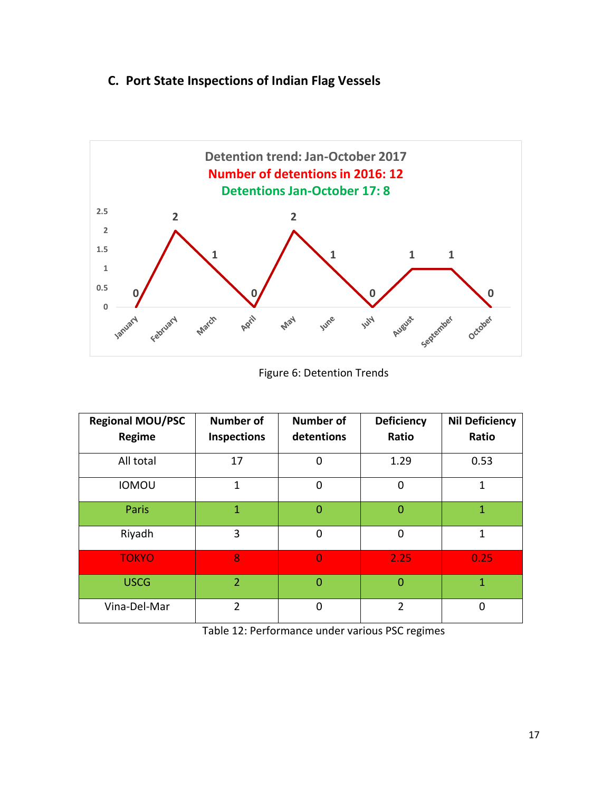## **C. Port State Inspections of Indian Flag Vessels**



Figure 6: Detention Trends

| <b>Regional MOU/PSC</b> | <b>Number of</b>   | <b>Number of</b> | <b>Deficiency</b> | <b>Nil Deficiency</b> |
|-------------------------|--------------------|------------------|-------------------|-----------------------|
| Regime                  | <b>Inspections</b> | detentions       | Ratio             | Ratio                 |
| All total               | 17                 | 0                | 1.29              | 0.53                  |
| <b>IOMOU</b>            | 1                  | $\mathbf 0$      | $\mathbf 0$       | 1                     |
| Paris                   | 1                  | $\overline{0}$   | $\overline{0}$    | $\mathbf{1}$          |
| Riyadh                  | 3                  | $\mathbf 0$      | $\mathbf 0$       | 1                     |
| <b>TOKYO</b>            | 8                  | $\overline{0}$   | 2.25              | 0.25                  |
| <b>USCG</b>             | $\overline{2}$     | $\overline{0}$   | $\overline{0}$    | 1                     |
| Vina-Del-Mar            | $\overline{2}$     | $\overline{0}$   | 2                 | 0                     |

Table 12: Performance under various PSC regimes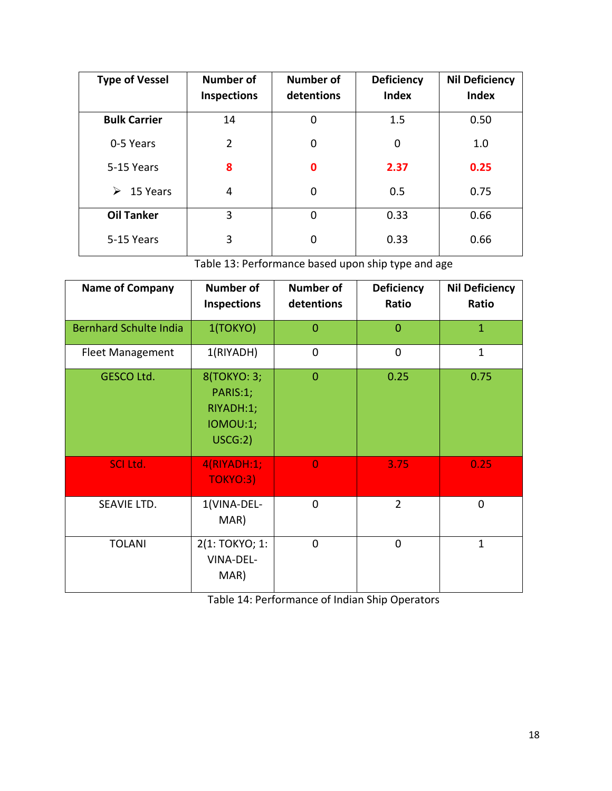| <b>Type of Vessel</b> | <b>Number of</b><br><b>Inspections</b> | Number of<br>detentions | <b>Deficiency</b><br><b>Index</b> | <b>Nil Deficiency</b><br><b>Index</b> |
|-----------------------|----------------------------------------|-------------------------|-----------------------------------|---------------------------------------|
| <b>Bulk Carrier</b>   | 14                                     | 0                       | 1.5                               | 0.50                                  |
| 0-5 Years             | $\overline{2}$                         | 0                       | 0                                 | 1.0                                   |
| 5-15 Years            | 8                                      | $\mathbf 0$             | 2.37                              | 0.25                                  |
| ➤<br>15 Years         | 4                                      | 0                       | 0.5                               | 0.75                                  |
| <b>Oil Tanker</b>     | 3                                      | 0                       | 0.33                              | 0.66                                  |
| 5-15 Years            | 3                                      | 0                       | 0.33                              | 0.66                                  |

Table 13: Performance based upon ship type and age

| <b>Name of Company</b>        | <b>Number of</b><br>Inspections                             | <b>Number of</b><br>detentions | <b>Deficiency</b><br>Ratio | <b>Nil Deficiency</b><br>Ratio |
|-------------------------------|-------------------------------------------------------------|--------------------------------|----------------------------|--------------------------------|
| <b>Bernhard Schulte India</b> | 1(TOKYO)                                                    | $\overline{0}$                 | $\mathbf 0$                | $\mathbf{1}$                   |
| <b>Fleet Management</b>       | 1(RIYADH)                                                   | $\overline{0}$                 | $\mathbf 0$                | $\mathbf{1}$                   |
| <b>GESCO Ltd.</b>             | 8(TOKYO: 3;<br>PARIS:1;<br>RIYADH:1;<br>IOMOU:1;<br>USCG:2) | $\overline{0}$                 | 0.25                       | 0.75                           |
| <b>SCI Ltd.</b>               | 4(RIYADH:1;<br><b>TOKYO:3)</b>                              | $\Omega$                       | 3.75                       | 0.25                           |
| SEAVIE LTD.                   | 1(VINA-DEL-<br>MAR)                                         | $\overline{0}$                 | $\overline{2}$             | $\mathbf 0$                    |
| <b>TOLANI</b>                 | 2(1: TOKYO; 1:<br>VINA-DEL-<br>MAR)                         | $\overline{0}$                 | $\mathbf 0$                | $\mathbf{1}$                   |

Table 14: Performance of Indian Ship Operators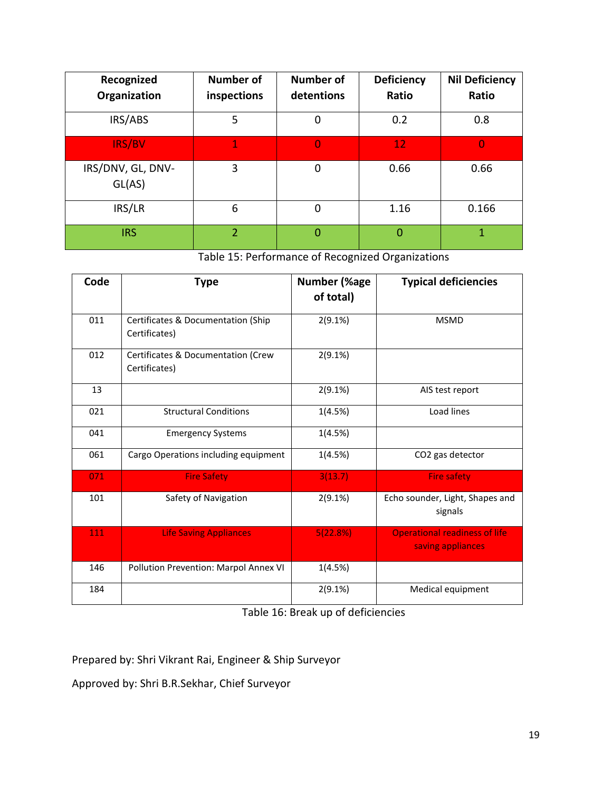| Recognized<br>Organization  | <b>Number of</b><br>inspections | <b>Number of</b><br>detentions | <b>Deficiency</b><br>Ratio | <b>Nil Deficiency</b><br>Ratio |
|-----------------------------|---------------------------------|--------------------------------|----------------------------|--------------------------------|
| IRS/ABS                     | 5                               |                                | 0.2                        | 0.8                            |
| <b>IRS/BV</b>               | $\mathbf 1$                     | $\Omega$                       | 12 <sub>1</sub>            | $\bf{0}$                       |
| IRS/DNV, GL, DNV-<br>GL(AS) | 3                               | $\mathbf 0$                    | 0.66                       | 0.66                           |
| IRS/LR                      | 6                               | 0                              | 1.16                       | 0.166                          |
| <b>IRS</b>                  | $\overline{2}$                  | 0                              | 0                          | 1                              |

Table 15: Performance of Recognized Organizations

| Code | <b>Type</b>                                         | <b>Number (%age</b><br>of total) | <b>Typical deficiencies</b>                               |
|------|-----------------------------------------------------|----------------------------------|-----------------------------------------------------------|
| 011  | Certificates & Documentation (Ship<br>Certificates) | 2(9.1%)                          | <b>MSMD</b>                                               |
| 012  | Certificates & Documentation (Crew<br>Certificates) | 2(9.1%)                          |                                                           |
| 13   |                                                     | 2(9.1%)                          | AIS test report                                           |
| 021  | <b>Structural Conditions</b>                        | 1(4.5%)                          | Load lines                                                |
| 041  | <b>Emergency Systems</b>                            | 1(4.5%)                          |                                                           |
| 061  | Cargo Operations including equipment                | 1(4.5%)                          | CO2 gas detector                                          |
| 071  | <b>Fire Safety</b>                                  | 3(13.7)                          | <b>Fire safety</b>                                        |
| 101  | Safety of Navigation                                | 2(9.1%)                          | Echo sounder, Light, Shapes and<br>signals                |
| 111  | <b>Life Saving Appliances</b>                       | 5(22.8%)                         | <b>Operational readiness of life</b><br>saving appliances |
| 146  | Pollution Prevention: Marpol Annex VI               | 1(4.5%)                          |                                                           |
| 184  |                                                     | 2(9.1%)                          | Medical equipment                                         |

Table 16: Break up of deficiencies

Prepared by: Shri Vikrant Rai, Engineer & Ship Surveyor

Approved by: Shri B.R.Sekhar, Chief Surveyor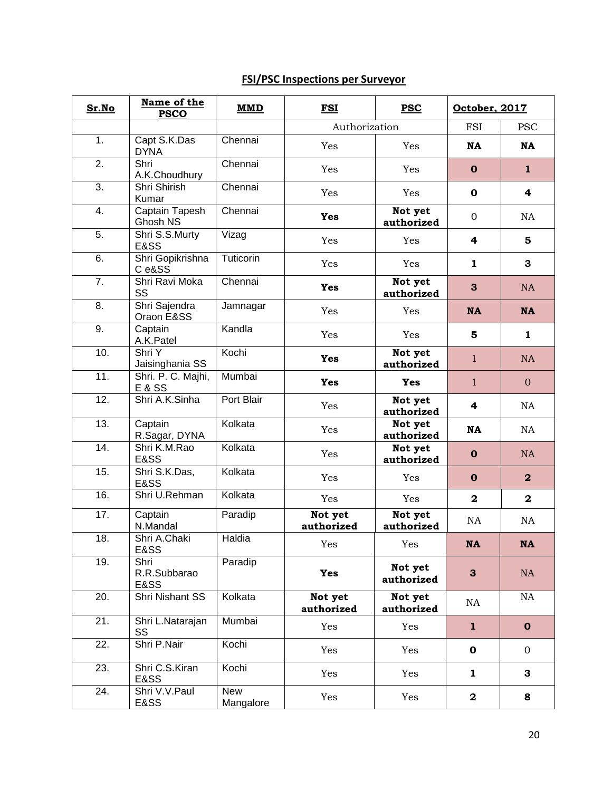# **FSI/PSC Inspections per Surveyor**

| Sr.No             | Name of the<br><b>PSCO</b>              | <b>MMD</b>              | <b>FSI</b>            | <b>PSC</b>            | October, 2017           |                         |
|-------------------|-----------------------------------------|-------------------------|-----------------------|-----------------------|-------------------------|-------------------------|
|                   |                                         |                         | Authorization         |                       | <b>FSI</b>              | <b>PSC</b>              |
| 1.                | Capt S.K.Das<br><b>DYNA</b>             | Chennai                 | Yes                   | Yes                   | <b>NA</b>               | <b>NA</b>               |
| 2.                | Shri<br>A.K.Choudhury                   | Chennai                 | Yes                   | Yes                   | $\mathbf 0$             | $\mathbf{1}$            |
| $\overline{3}$ .  | Shri Shirish<br>Kumar                   | Chennai                 | Yes                   | Yes                   | 0                       | 4                       |
| 4.                | Captain Tapesh<br>Ghosh NS              | Chennai                 | Yes                   | Not yet<br>authorized | $\mathbf{0}$            | <b>NA</b>               |
| 5.                | Shri S.S.Murty<br>E&SS                  | Vizag                   | Yes                   | Yes                   | 4                       | 5                       |
| 6.                | Shri Gopikrishna<br>Ce&SS               | Tuticorin               | Yes                   | Yes                   | 1                       | 3                       |
| 7.                | Shri Ravi Moka<br>SS                    | Chennai                 | <b>Yes</b>            | Not yet<br>authorized | 3                       | <b>NA</b>               |
| 8.                | Shri Sajendra<br>Oraon E&SS             | Jamnagar                | Yes                   | Yes                   | <b>NA</b>               | <b>NA</b>               |
| 9.                | Captain<br>A.K.Patel                    | Kandla                  | Yes                   | Yes                   | 5                       | 1                       |
| 10.               | Shri Y<br>Jaisinghania SS               | Kochi                   | Yes                   | Not yet<br>authorized | 1                       | <b>NA</b>               |
| 11.               | Shri. P. C. Majhi,<br><b>E &amp; SS</b> | Mumbai                  | Yes                   | <b>Yes</b>            | $\mathbf{1}$            | $\mathbf{0}$            |
| 12.               | Shri A.K.Sinha                          | Port Blair              | Yes                   | Not yet<br>authorized | 4                       | NA                      |
| $\overline{13}$ . | Captain<br>R.Sagar, DYNA                | Kolkata                 | Yes                   | Not yet<br>authorized | <b>NA</b>               | NA                      |
| 14.               | Shri K.M.Rao<br>E&SS                    | Kolkata                 | Yes                   | Not yet<br>authorized | $\mathbf{o}$            | <b>NA</b>               |
| 15.               | Shri S.K.Das,<br>E&SS                   | Kolkata                 | Yes                   | Yes                   | $\mathbf 0$             | $\overline{\mathbf{2}}$ |
| 16.               | Shri U.Rehman                           | Kolkata                 | Yes                   | Yes                   | $\overline{\mathbf{2}}$ | $\mathbf{2}$            |
| 17.               | Captain<br>N.Mandal                     | Paradip                 | Not yet<br>authorized | Not yet<br>authorized | NA                      | NA                      |
| 18.               | Shri A.Chaki<br>E&SS                    | Haldia                  | Yes                   | Yes                   | <b>NA</b>               | NA                      |
| 19.               | Shri<br>R.R.Subbarao<br>E&SS            | Paradip                 | <b>Yes</b>            | Not yet<br>authorized | $\mathbf{3}$            | NA                      |
| 20.               | Shri Nishant SS                         | Kolkata                 | Not yet<br>authorized | Not yet<br>authorized | NA                      | NA                      |
| $\overline{21}$ . | Shri L.Natarajan<br>SS                  | Mumbai                  | Yes                   | Yes                   | $\mathbf{1}$            | $\mathbf{o}$            |
| $\overline{22}$ . | Shri P.Nair                             | Kochi                   | Yes                   | Yes                   | $\mathbf 0$             | $\overline{0}$          |
| 23.               | Shri C.S.Kiran<br>E&SS                  | Kochi                   | Yes                   | Yes                   | $\mathbf{1}$            | 3                       |
| 24.               | Shri V.V.Paul<br>E&SS                   | <b>New</b><br>Mangalore | Yes                   | Yes                   | $\mathbf 2$             | 8                       |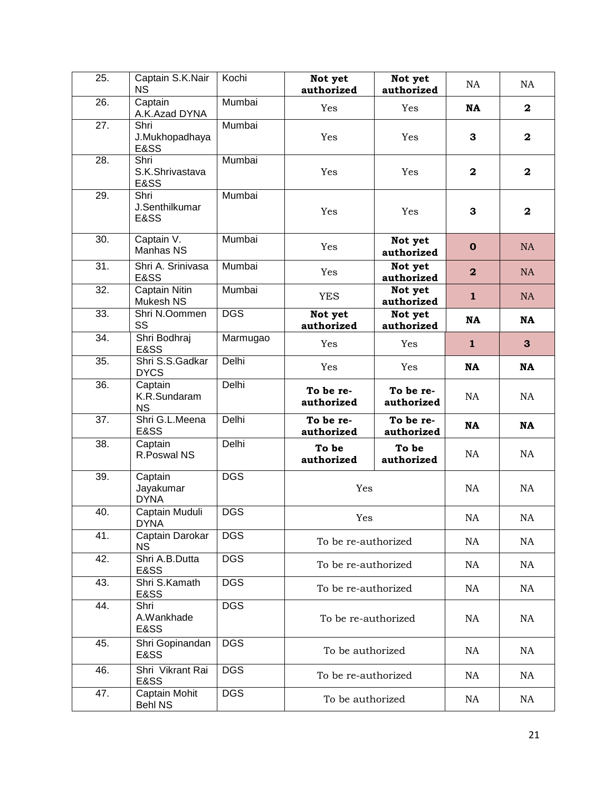| $\overline{25}$ . | Captain S.K.Nair<br><b>NS</b>        | Kochi      | Not yet<br>authorized   | Not yet<br>authorized   | <b>NA</b>               | NA                      |
|-------------------|--------------------------------------|------------|-------------------------|-------------------------|-------------------------|-------------------------|
| 26.               | Captain<br>A.K.Azad DYNA             | Mumbai     | Yes                     | Yes                     | <b>NA</b>               | $\mathbf 2$             |
| 27.               | Shri<br>J.Mukhopadhaya<br>E&SS       | Mumbai     | Yes                     | Yes                     | 3                       | $\mathbf{2}$            |
| 28.               | Shri<br>S.K.Shrivastava<br>E&SS      | Mumbai     | Yes                     | Yes                     | $\mathbf 2$             | $\overline{\mathbf{2}}$ |
| 29.               | Shri<br>J.Senthilkumar<br>E&SS       | Mumbai     | Yes                     | Yes                     | 3                       | $\overline{\mathbf{2}}$ |
| 30.               | Captain V.<br>Manhas NS              | Mumbai     | Yes                     | Not yet<br>authorized   | $\mathbf 0$             | <b>NA</b>               |
| $\overline{31}$ . | Shri A. Srinivasa<br><b>E&amp;SS</b> | Mumbai     | Yes                     | Not yet<br>authorized   | $\overline{\mathbf{2}}$ | NA                      |
| 32.               | Captain Nitin<br>Mukesh NS           | Mumbai     | <b>YES</b>              | Not yet<br>authorized   | $\mathbf{1}$            | NA                      |
| 33.               | Shri N.Oommen<br>SS                  | <b>DGS</b> | Not yet<br>authorized   | Not yet<br>authorized   | <b>NA</b>               | <b>NA</b>               |
| 34.               | Shri Bodhraj<br>E&SS                 | Marmugao   | Yes                     | Yes                     | $\mathbf{1}$            | 3                       |
| 35.               | Shri S.S.Gadkar<br><b>DYCS</b>       | Delhi      | Yes                     | Yes                     | <b>NA</b>               | <b>NA</b>               |
| 36.               | Captain<br>K.R.Sundaram<br><b>NS</b> | Delhi      | To be re-<br>authorized | To be re-<br>authorized | NA                      | <b>NA</b>               |
| 37.               | Shri G.L.Meena<br>E&SS               | Delhi      | To be re-<br>authorized | To be re-<br>authorized | <b>NA</b>               | <b>NA</b>               |
| 38.               | Captain<br>R.Poswal NS               | Delhi      | To be<br>authorized     | To be<br>authorized     | NA                      | NA                      |
| $\overline{39}$ . | Captain<br>Jayakumar<br><b>DYNA</b>  | <b>DGS</b> | Yes                     |                         | NA                      | NA                      |
| 40.               | Captain Muduli<br><b>DYNA</b>        | <b>DGS</b> | Yes                     |                         | NA                      | NA                      |
| 41.               | Captain Darokar<br><b>NS</b>         | <b>DGS</b> | To be re-authorized     |                         | NA                      | <b>NA</b>               |
| 42.               | Shri A.B.Dutta<br>E&SS               | <b>DGS</b> | To be re-authorized     |                         | NA                      | <b>NA</b>               |
| 43.               | Shri S.Kamath<br>E&SS                | <b>DGS</b> | To be re-authorized     |                         | NA                      | NA                      |
| 44.               | Shri<br>A.Wankhade<br>E&SS           | <b>DGS</b> | To be re-authorized     |                         | <b>NA</b>               | <b>NA</b>               |
| 45.               | Shri Gopinandan<br>E&SS              | <b>DGS</b> | To be authorized        |                         | <b>NA</b>               | NA                      |
| 46.               | Shri Vikrant Rai<br>E&SS             | <b>DGS</b> | To be re-authorized     |                         | <b>NA</b>               | <b>NA</b>               |
| 47.               | Captain Mohit<br><b>Behl NS</b>      | <b>DGS</b> | To be authorized        |                         | NA                      | NA                      |